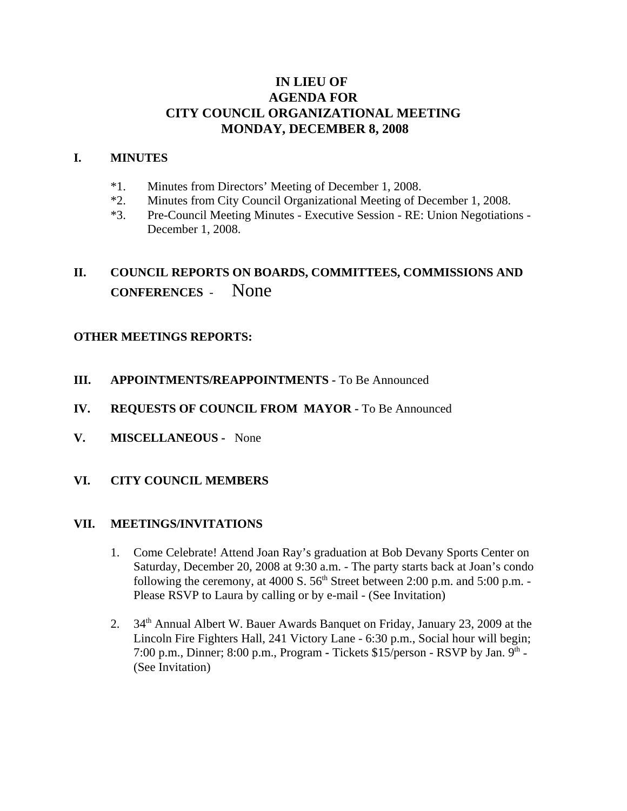## **IN LIEU OF AGENDA FOR CITY COUNCIL ORGANIZATIONAL MEETING MONDAY, DECEMBER 8, 2008**

#### **I. MINUTES**

- \*1. Minutes from Directors' Meeting of December 1, 2008.
- \*2. Minutes from City Council Organizational Meeting of December 1, 2008.
- \*3. Pre-Council Meeting Minutes Executive Session RE: Union Negotiations December 1, 2008.

# **II. COUNCIL REPORTS ON BOARDS, COMMITTEES, COMMISSIONS AND CONFERENCES** - None

## **OTHER MEETINGS REPORTS:**

- **III.** APPOINTMENTS/REAPPOINTMENTS To Be Announced
- **IV. REQUESTS OF COUNCIL FROM MAYOR -** To Be Announced
- **V. MISCELLANEOUS -** None
- **VI. CITY COUNCIL MEMBERS**

#### **VII. MEETINGS/INVITATIONS**

- 1. Come Celebrate! Attend Joan Ray's graduation at Bob Devany Sports Center on Saturday, December 20, 2008 at 9:30 a.m. - The party starts back at Joan's condo following the ceremony, at 4000 S.  $56<sup>th</sup>$  Street between 2:00 p.m. and  $5:00$  p.m. -Please RSVP to Laura by calling or by e-mail - (See Invitation)
- 2. 34<sup>th</sup> Annual Albert W. Bauer Awards Banquet on Friday, January 23, 2009 at the Lincoln Fire Fighters Hall, 241 Victory Lane - 6:30 p.m., Social hour will begin; 7:00 p.m., Dinner; 8:00 p.m., Program **-** Tickets \$15/person - RSVP by Jan. 9th - (See Invitation)